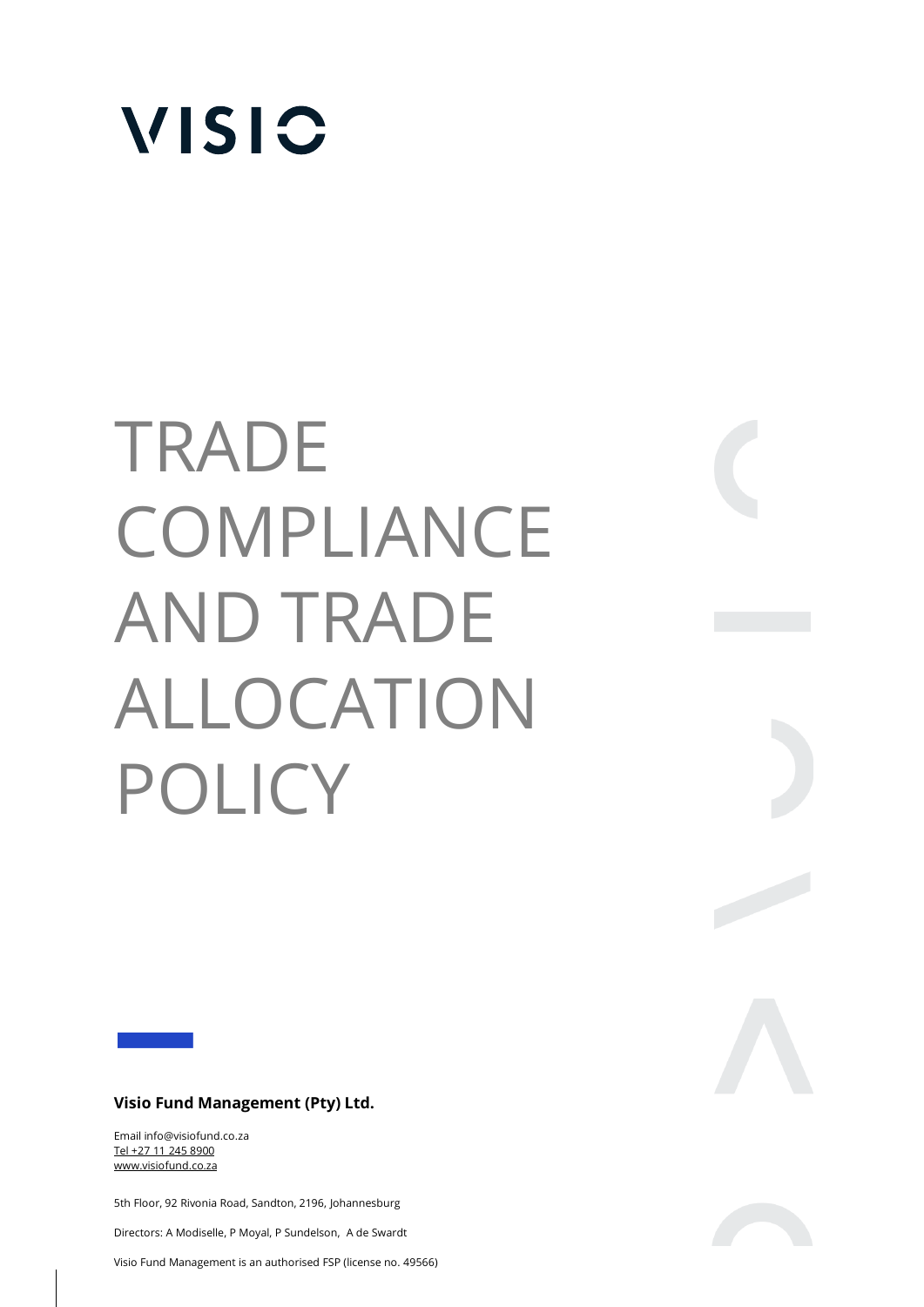

# TRADE **COMPLIANCE** AND TRADE ALLOCATION POLICY

## **Visio Fund Management (Pty) Ltd.**

Email info@visiofund.co.za Tel +27 11 245 8900 www.visiofund.co.za

5th Floor, 92 Rivonia Road, Sandton, 2196, Johannesburg

Directors: A Modiselle, P Moyal, P Sundelson, A de Swardt

**Visio Fund Management (PTY) Ltd.** 

Visio Fund Management is an authorised FSP (license no. 49566)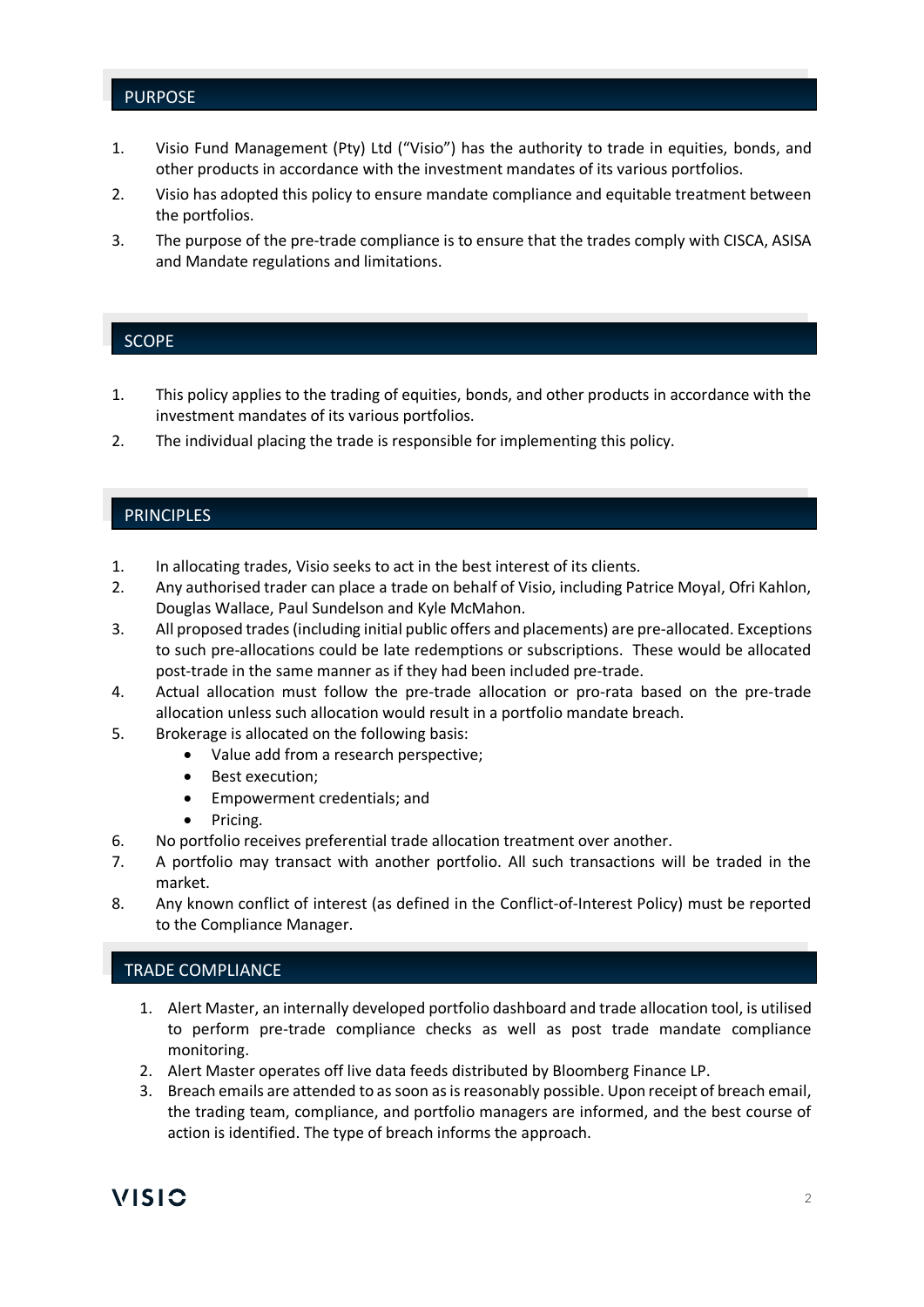## PURPOSE

- 1. Visio Fund Management (Pty) Ltd ("Visio") has the authority to trade in equities, bonds, and other products in accordance with the investment mandates of its various portfolios.
- 2. Visio has adopted this policy to ensure mandate compliance and equitable treatment between the portfolios.
- 3. The purpose of the pre-trade compliance is to ensure that the trades comply with CISCA, ASISA and Mandate regulations and limitations.

#### SCOPE

- 1. This policy applies to the trading of equities, bonds, and other products in accordance with the investment mandates of its various portfolios.
- 2. The individual placing the trade is responsible for implementing this policy.

# **PRINCIPLES**

- 1. In allocating trades, Visio seeks to act in the best interest of its clients.
- 2. Any authorised trader can place a trade on behalf of Visio, including Patrice Moyal, Ofri Kahlon, Douglas Wallace, Paul Sundelson and Kyle McMahon.
- 3. All proposed trades (including initial public offers and placements) are pre-allocated. Exceptions to such pre-allocations could be late redemptions or subscriptions. These would be allocated post-trade in the same manner as if they had been included pre-trade.
- 4. Actual allocation must follow the pre-trade allocation or pro-rata based on the pre-trade allocation unless such allocation would result in a portfolio mandate breach.
- 5. Brokerage is allocated on the following basis:
	- Value add from a research perspective;
		- Best execution;
		- Empowerment credentials; and
		- Pricing.
- 6. No portfolio receives preferential trade allocation treatment over another.
- 7. A portfolio may transact with another portfolio. All such transactions will be traded in the market.
- 8. Any known conflict of interest (as defined in the Conflict-of-Interest Policy) must be reported to the Compliance Manager.

# TRADE COMPLIANCE

- 1. Alert Master, an internally developed portfolio dashboard and trade allocation tool, is utilised to perform pre-trade compliance checks as well as post trade mandate compliance monitoring.
- 2. Alert Master operates off live data feeds distributed by Bloomberg Finance LP.
- 3. Breach emails are attended to as soon as is reasonably possible. Upon receipt of breach email, the trading team, compliance, and portfolio managers are informed, and the best course of action is identified. The type of breach informs the approach.